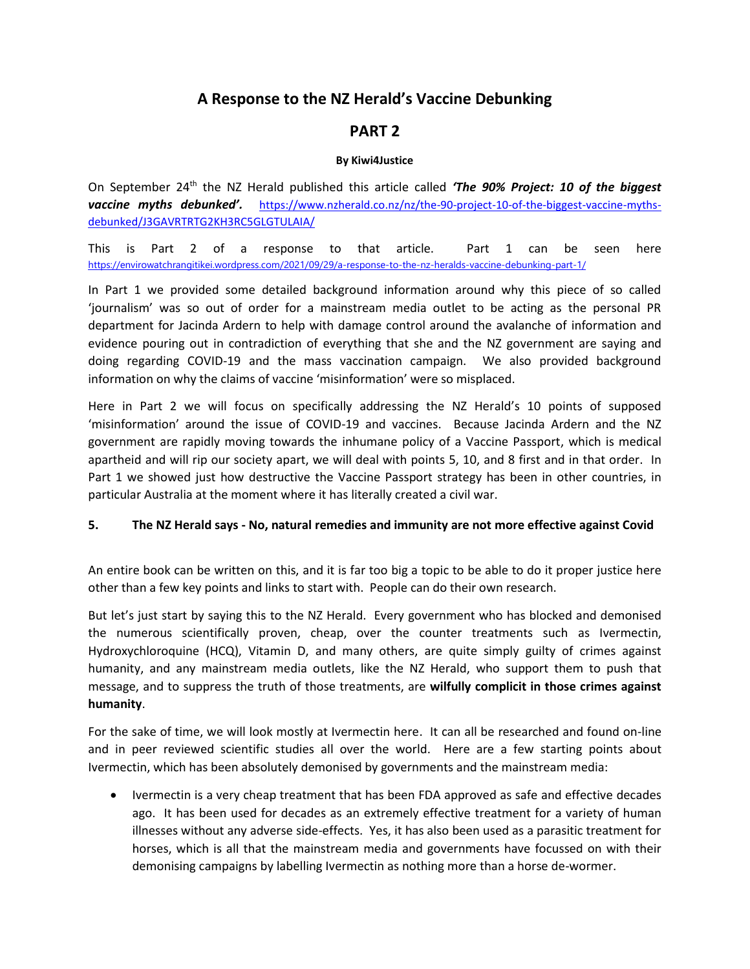# **A Response to the NZ Herald's Vaccine Debunking**

## **PART 2**

## **By Kiwi4Justice**

On September 24<sup>th</sup> the NZ Herald published this article called 'The 90% Project: 10 of the biggest *vaccine myths debunked'.* [https://www.nzherald.co.nz/nz/the-90-project-10-of-the-biggest-vaccine-myths](https://www.nzherald.co.nz/nz/the-90-project-10-of-the-biggest-vaccine-myths-debunked/J3GAVRTRTG2KH3RC5GLGTULAIA/)[debunked/J3GAVRTRTG2KH3RC5GLGTULAIA/](https://www.nzherald.co.nz/nz/the-90-project-10-of-the-biggest-vaccine-myths-debunked/J3GAVRTRTG2KH3RC5GLGTULAIA/)

This is Part 2 of a response to that article. Part 1 can be seen here [https://envirowatchrangitikei.wordpress.com/2021/09/29/a-response-to-the-nz-heralds-vaccine-debunking-part-1/](https://emea01.safelinks.protection.outlook.com/?url=https%3A%2F%2Fenvirowatchrangitikei.wordpress.com%2F2021%2F09%2F29%2Fa-response-to-the-nz-heralds-vaccine-debunking-part-1%2F&data=04%7C01%7C%7Ca5eec7149d9741d1f12308d986fae396%7C84df9e7fe9f640afb435aaaaaaaaaaaa%7C1%7C0%7C637689234374249896%7CUnknown%7CTWFpbGZsb3d8eyJWIjoiMC4wLjAwMDAiLCJQIjoiV2luMzIiLCJBTiI6Ik1haWwiLCJXVCI6Mn0%3D%7C1000&sdata=tm2OIKbVugVY829PuoJ%2BLr%2BiLfGPLpopgqJPMWpzNFY%3D&reserved=0)

In Part 1 we provided some detailed background information around why this piece of so called 'journalism' was so out of order for a mainstream media outlet to be acting as the personal PR department for Jacinda Ardern to help with damage control around the avalanche of information and evidence pouring out in contradiction of everything that she and the NZ government are saying and doing regarding COVID-19 and the mass vaccination campaign. We also provided background information on why the claims of vaccine 'misinformation' were so misplaced.

Here in Part 2 we will focus on specifically addressing the NZ Herald's 10 points of supposed 'misinformation' around the issue of COVID-19 and vaccines. Because Jacinda Ardern and the NZ government are rapidly moving towards the inhumane policy of a Vaccine Passport, which is medical apartheid and will rip our society apart, we will deal with points 5, 10, and 8 first and in that order. In Part 1 we showed just how destructive the Vaccine Passport strategy has been in other countries, in particular Australia at the moment where it has literally created a civil war.

## **5. The NZ Herald says - No, natural remedies and immunity are not more effective against Covid**

An entire book can be written on this, and it is far too big a topic to be able to do it proper justice here other than a few key points and links to start with. People can do their own research.

But let's just start by saying this to the NZ Herald. Every government who has blocked and demonised the numerous scientifically proven, cheap, over the counter treatments such as Ivermectin, Hydroxychloroquine (HCQ), Vitamin D, and many others, are quite simply guilty of crimes against humanity, and any mainstream media outlets, like the NZ Herald, who support them to push that message, and to suppress the truth of those treatments, are **wilfully complicit in those crimes against humanity**.

For the sake of time, we will look mostly at Ivermectin here. It can all be researched and found on-line and in peer reviewed scientific studies all over the world. Here are a few starting points about Ivermectin, which has been absolutely demonised by governments and the mainstream media:

• Ivermectin is a very cheap treatment that has been FDA approved as safe and effective decades ago. It has been used for decades as an extremely effective treatment for a variety of human illnesses without any adverse side-effects. Yes, it has also been used as a parasitic treatment for horses, which is all that the mainstream media and governments have focussed on with their demonising campaigns by labelling Ivermectin as nothing more than a horse de-wormer.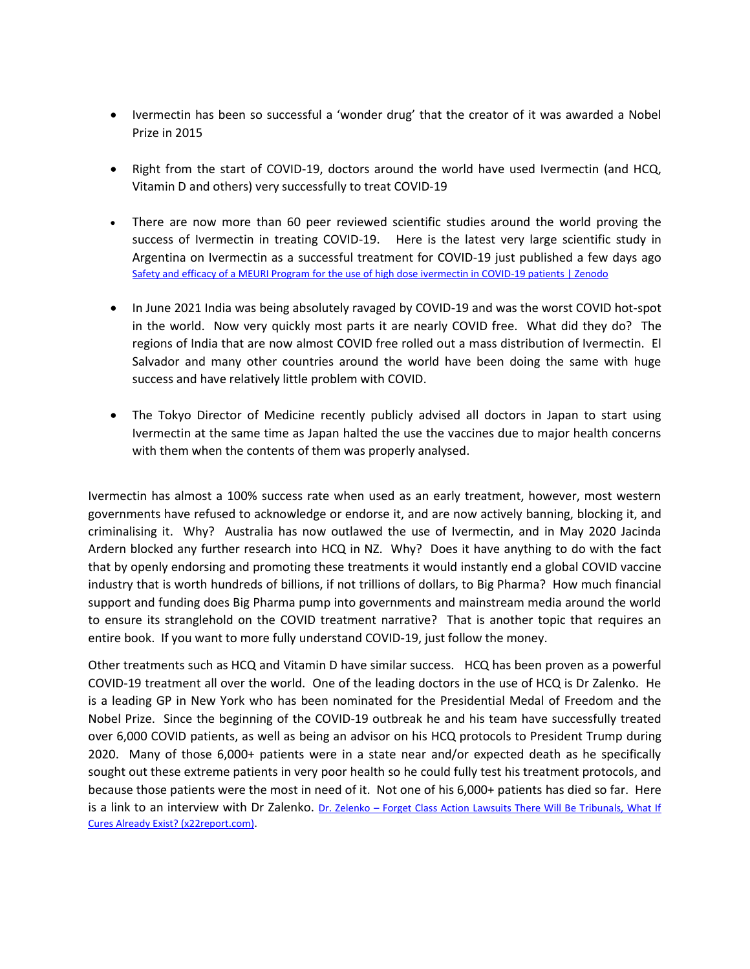- Ivermectin has been so successful a 'wonder drug' that the creator of it was awarded a Nobel Prize in 2015
- Right from the start of COVID-19, doctors around the world have used Ivermectin (and HCQ, Vitamin D and others) very successfully to treat COVID-19
- There are now more than 60 peer reviewed scientific studies around the world proving the success of Ivermectin in treating COVID-19. Here is the latest very large scientific study in Argentina on Ivermectin as a successful treatment for COVID-19 just published a few days ago [Safety and efficacy of a MEURI Program for the use of high dose ivermectin in COVID-19 patients | Zenodo](https://zenodo.org/record/5525362#.YVXsfDFByUl)
- In June 2021 India was being absolutely ravaged by COVID-19 and was the worst COVID hot-spot in the world. Now very quickly most parts it are nearly COVID free. What did they do? The regions of India that are now almost COVID free rolled out a mass distribution of Ivermectin. El Salvador and many other countries around the world have been doing the same with huge success and have relatively little problem with COVID.
- The Tokyo Director of Medicine recently publicly advised all doctors in Japan to start using Ivermectin at the same time as Japan halted the use the vaccines due to major health concerns with them when the contents of them was properly analysed.

Ivermectin has almost a 100% success rate when used as an early treatment, however, most western governments have refused to acknowledge or endorse it, and are now actively banning, blocking it, and criminalising it. Why? Australia has now outlawed the use of Ivermectin, and in May 2020 Jacinda Ardern blocked any further research into HCQ in NZ. Why? Does it have anything to do with the fact that by openly endorsing and promoting these treatments it would instantly end a global COVID vaccine industry that is worth hundreds of billions, if not trillions of dollars, to Big Pharma? How much financial support and funding does Big Pharma pump into governments and mainstream media around the world to ensure its stranglehold on the COVID treatment narrative? That is another topic that requires an entire book. If you want to more fully understand COVID-19, just follow the money.

Other treatments such as HCQ and Vitamin D have similar success. HCQ has been proven as a powerful COVID-19 treatment all over the world. One of the leading doctors in the use of HCQ is Dr Zalenko. He is a leading GP in New York who has been nominated for the Presidential Medal of Freedom and the Nobel Prize. Since the beginning of the COVID-19 outbreak he and his team have successfully treated over 6,000 COVID patients, as well as being an advisor on his HCQ protocols to President Trump during 2020. Many of those 6,000+ patients were in a state near and/or expected death as he specifically sought out these extreme patients in very poor health so he could fully test his treatment protocols, and because those patients were the most in need of it. Not one of his 6,000+ patients has died so far. Here is a link to an interview with Dr Zalenko. Dr. Zelenko - Forget Class Action Lawsuits There Will Be Tribunals, What If [Cures Already Exist? \(x22report.com\).](https://x22report.com/aiovg_videos/dr-zelenko-forget-class-action-lawsuits-there-will-be-tribunals-what-if-cures-already-exist/)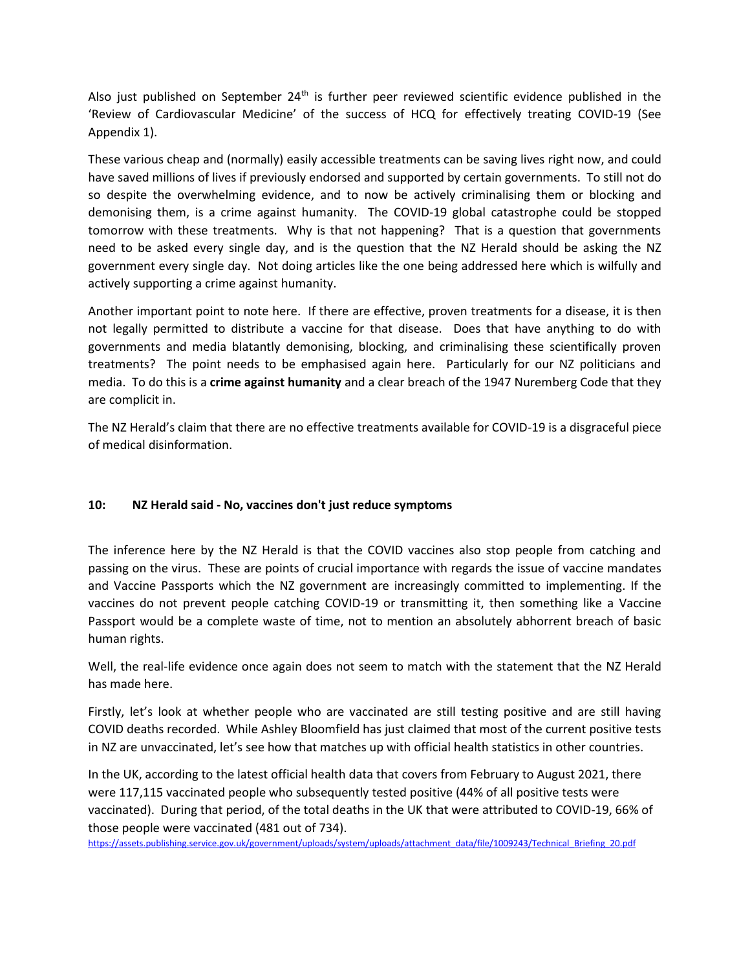Also just published on September  $24<sup>th</sup>$  is further peer reviewed scientific evidence published in the 'Review of Cardiovascular Medicine' of the success of HCQ for effectively treating COVID-19 (See Appendix 1).

These various cheap and (normally) easily accessible treatments can be saving lives right now, and could have saved millions of lives if previously endorsed and supported by certain governments. To still not do so despite the overwhelming evidence, and to now be actively criminalising them or blocking and demonising them, is a crime against humanity. The COVID-19 global catastrophe could be stopped tomorrow with these treatments. Why is that not happening? That is a question that governments need to be asked every single day, and is the question that the NZ Herald should be asking the NZ government every single day. Not doing articles like the one being addressed here which is wilfully and actively supporting a crime against humanity.

Another important point to note here. If there are effective, proven treatments for a disease, it is then not legally permitted to distribute a vaccine for that disease. Does that have anything to do with governments and media blatantly demonising, blocking, and criminalising these scientifically proven treatments? The point needs to be emphasised again here. Particularly for our NZ politicians and media. To do this is a **crime against humanity** and a clear breach of the 1947 Nuremberg Code that they are complicit in.

The NZ Herald's claim that there are no effective treatments available for COVID-19 is a disgraceful piece of medical disinformation.

## **10: NZ Herald said - No, vaccines don't just reduce symptoms**

The inference here by the NZ Herald is that the COVID vaccines also stop people from catching and passing on the virus. These are points of crucial importance with regards the issue of vaccine mandates and Vaccine Passports which the NZ government are increasingly committed to implementing. If the vaccines do not prevent people catching COVID-19 or transmitting it, then something like a Vaccine Passport would be a complete waste of time, not to mention an absolutely abhorrent breach of basic human rights.

Well, the real-life evidence once again does not seem to match with the statement that the NZ Herald has made here.

Firstly, let's look at whether people who are vaccinated are still testing positive and are still having COVID deaths recorded. While Ashley Bloomfield has just claimed that most of the current positive tests in NZ are unvaccinated, let's see how that matches up with official health statistics in other countries.

In the UK, according to the latest official health data that covers from February to August 2021, there were 117,115 vaccinated people who subsequently tested positive (44% of all positive tests were vaccinated). During that period, of the total deaths in the UK that were attributed to COVID-19, 66% of those people were vaccinated (481 out of 734).

[https://assets.publishing.service.gov.uk/government/uploads/system/uploads/attachment\\_data/file/1009243/Technical\\_Briefing\\_20.pdf](https://assets.publishing.service.gov.uk/government/uploads/system/uploads/attachment_data/file/1009243/Technical_Briefing_20.pdf)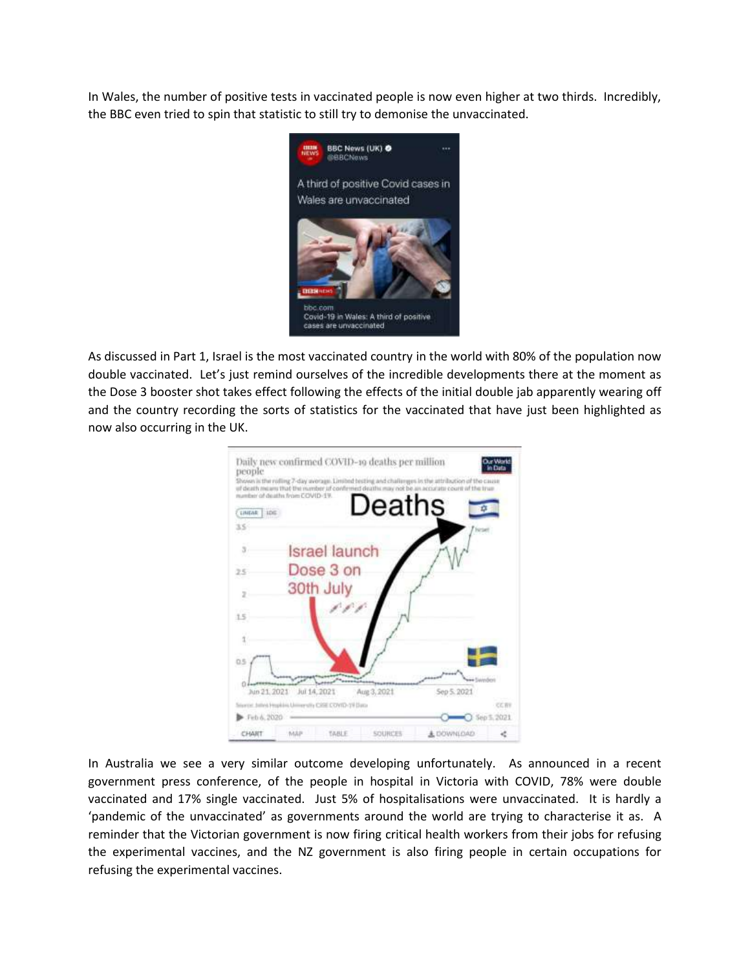In Wales, the number of positive tests in vaccinated people is now even higher at two thirds. Incredibly, the BBC even tried to spin that statistic to still try to demonise the unvaccinated.



As discussed in Part 1, Israel is the most vaccinated country in the world with 80% of the population now double vaccinated. Let's just remind ourselves of the incredible developments there at the moment as the Dose 3 booster shot takes effect following the effects of the initial double jab apparently wearing off and the country recording the sorts of statistics for the vaccinated that have just been highlighted as now also occurring in the UK.



In Australia we see a very similar outcome developing unfortunately. As announced in a recent government press conference, of the people in hospital in Victoria with COVID, 78% were double vaccinated and 17% single vaccinated. Just 5% of hospitalisations were unvaccinated. It is hardly a 'pandemic of the unvaccinated' as governments around the world are trying to characterise it as. A reminder that the Victorian government is now firing critical health workers from their jobs for refusing the experimental vaccines, and the NZ government is also firing people in certain occupations for refusing the experimental vaccines.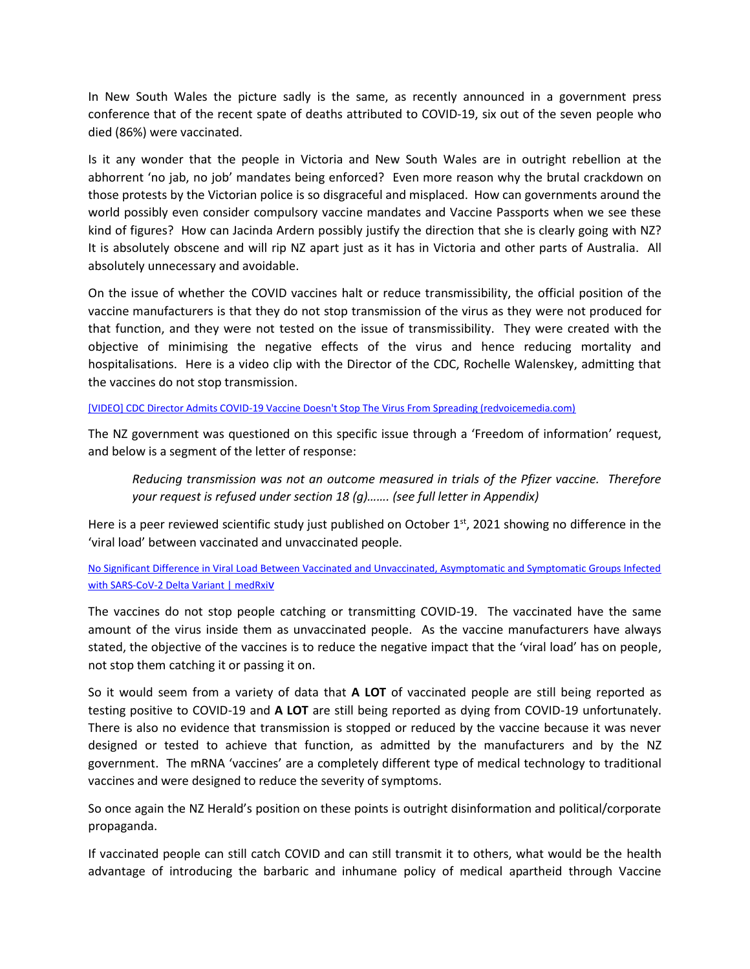In New South Wales the picture sadly is the same, as recently announced in a government press conference that of the recent spate of deaths attributed to COVID-19, six out of the seven people who died (86%) were vaccinated.

Is it any wonder that the people in Victoria and New South Wales are in outright rebellion at the abhorrent 'no jab, no job' mandates being enforced? Even more reason why the brutal crackdown on those protests by the Victorian police is so disgraceful and misplaced. How can governments around the world possibly even consider compulsory vaccine mandates and Vaccine Passports when we see these kind of figures? How can Jacinda Ardern possibly justify the direction that she is clearly going with NZ? It is absolutely obscene and will rip NZ apart just as it has in Victoria and other parts of Australia. All absolutely unnecessary and avoidable.

On the issue of whether the COVID vaccines halt or reduce transmissibility, the official position of the vaccine manufacturers is that they do not stop transmission of the virus as they were not produced for that function, and they were not tested on the issue of transmissibility. They were created with the objective of minimising the negative effects of the virus and hence reducing mortality and hospitalisations. Here is a video clip with the Director of the CDC, Rochelle Walenskey, admitting that the vaccines do not stop transmission.

#### [\[VIDEO\] CDC Director Admits COVID-19 Vaccine Doesn't Stop The Virus From Spreading \(redvoicemedia.com\)](https://www.redvoicemedia.com/2021/10/video-cdc-director-admits-covid-19-vaccine-doesnt-stop-the-virus-from-spreading/)

The NZ government was questioned on this specific issue through a 'Freedom of information' request, and below is a segment of the letter of response:

*Reducing transmission was not an outcome measured in trials of the Pfizer vaccine. Therefore your request is refused under section 18 (g)……. (see full letter in Appendix)*

Here is a peer reviewed scientific study just published on October 1<sup>st</sup>, 2021 showing no difference in the 'viral load' between vaccinated and unvaccinated people.

## [No Significant Difference in Viral Load Between Vaccinated and Unvaccinated, Asymptomatic and Symptomatic Groups Infected](https://www.medrxiv.org/content/10.1101/2021.09.28.21264262v1)  [with SARS-CoV-2 Delta Variant | medRxi](https://www.medrxiv.org/content/10.1101/2021.09.28.21264262v1)V

The vaccines do not stop people catching or transmitting COVID-19. The vaccinated have the same amount of the virus inside them as unvaccinated people. As the vaccine manufacturers have always stated, the objective of the vaccines is to reduce the negative impact that the 'viral load' has on people, not stop them catching it or passing it on.

So it would seem from a variety of data that **A LOT** of vaccinated people are still being reported as testing positive to COVID-19 and **A LOT** are still being reported as dying from COVID-19 unfortunately. There is also no evidence that transmission is stopped or reduced by the vaccine because it was never designed or tested to achieve that function, as admitted by the manufacturers and by the NZ government. The mRNA 'vaccines' are a completely different type of medical technology to traditional vaccines and were designed to reduce the severity of symptoms.

So once again the NZ Herald's position on these points is outright disinformation and political/corporate propaganda.

If vaccinated people can still catch COVID and can still transmit it to others, what would be the health advantage of introducing the barbaric and inhumane policy of medical apartheid through Vaccine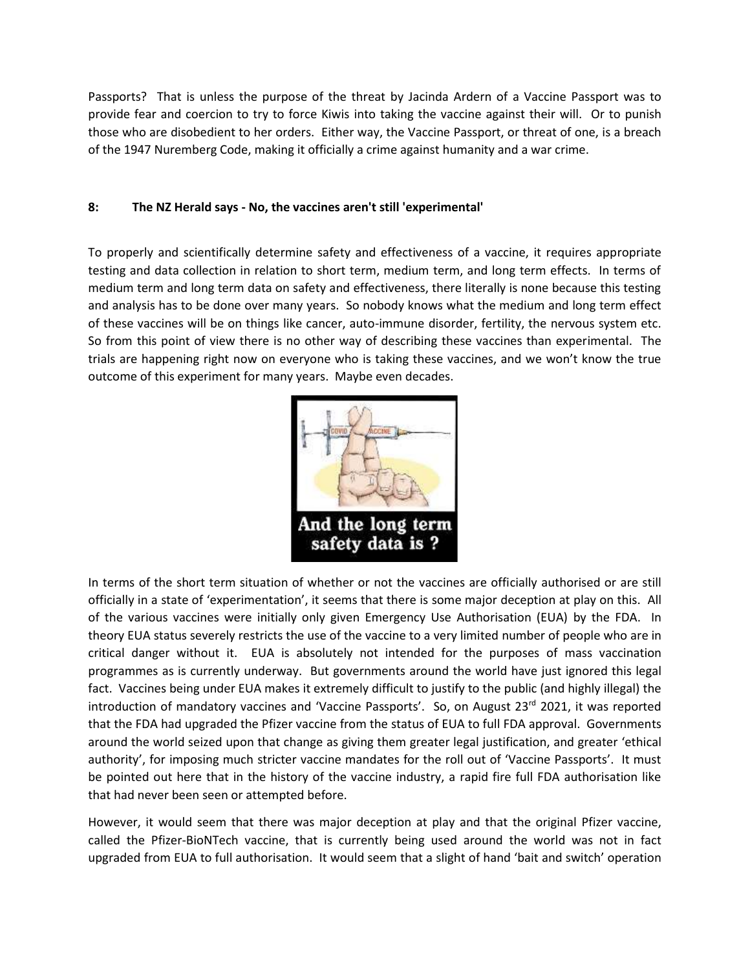Passports? That is unless the purpose of the threat by Jacinda Ardern of a Vaccine Passport was to provide fear and coercion to try to force Kiwis into taking the vaccine against their will. Or to punish those who are disobedient to her orders. Either way, the Vaccine Passport, or threat of one, is a breach of the 1947 Nuremberg Code, making it officially a crime against humanity and a war crime.

## **8: The NZ Herald says - No, the vaccines aren't still 'experimental'**

To properly and scientifically determine safety and effectiveness of a vaccine, it requires appropriate testing and data collection in relation to short term, medium term, and long term effects. In terms of medium term and long term data on safety and effectiveness, there literally is none because this testing and analysis has to be done over many years. So nobody knows what the medium and long term effect of these vaccines will be on things like cancer, auto-immune disorder, fertility, the nervous system etc. So from this point of view there is no other way of describing these vaccines than experimental. The trials are happening right now on everyone who is taking these vaccines, and we won't know the true outcome of this experiment for many years. Maybe even decades.



In terms of the short term situation of whether or not the vaccines are officially authorised or are still officially in a state of 'experimentation', it seems that there is some major deception at play on this. All of the various vaccines were initially only given Emergency Use Authorisation (EUA) by the FDA. In theory EUA status severely restricts the use of the vaccine to a very limited number of people who are in critical danger without it. EUA is absolutely not intended for the purposes of mass vaccination programmes as is currently underway. But governments around the world have just ignored this legal fact. Vaccines being under EUA makes it extremely difficult to justify to the public (and highly illegal) the introduction of mandatory vaccines and 'Vaccine Passports'. So, on August 23<sup>rd</sup> 2021, it was reported that the FDA had upgraded the Pfizer vaccine from the status of EUA to full FDA approval. Governments around the world seized upon that change as giving them greater legal justification, and greater 'ethical authority', for imposing much stricter vaccine mandates for the roll out of 'Vaccine Passports'. It must be pointed out here that in the history of the vaccine industry, a rapid fire full FDA authorisation like that had never been seen or attempted before.

However, it would seem that there was major deception at play and that the original Pfizer vaccine, called the Pfizer-BioNTech vaccine, that is currently being used around the world was not in fact upgraded from EUA to full authorisation. It would seem that a slight of hand 'bait and switch' operation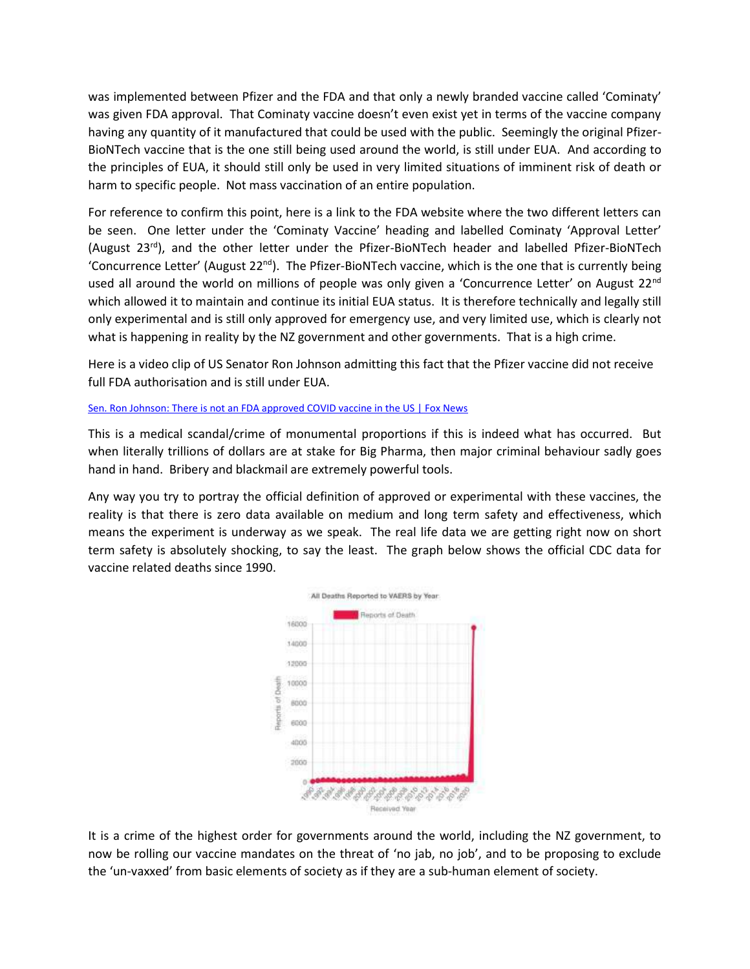was implemented between Pfizer and the FDA and that only a newly branded vaccine called 'Cominaty' was given FDA approval. That Cominaty vaccine doesn't even exist yet in terms of the vaccine company having any quantity of it manufactured that could be used with the public. Seemingly the original Pfizer-BioNTech vaccine that is the one still being used around the world, is still under EUA. And according to the principles of EUA, it should still only be used in very limited situations of imminent risk of death or harm to specific people. Not mass vaccination of an entire population.

For reference to confirm this point, here is a link to the FDA website where the two different letters can be seen. One letter under the 'Cominaty Vaccine' heading and labelled Cominaty 'Approval Letter' (August 23rd), and the other letter under the Pfizer-BioNTech header and labelled Pfizer-BioNTech 'Concurrence Letter' (August  $22^{nd}$ ). The Pfizer-BioNTech vaccine, which is the one that is currently being used all around the world on millions of people was only given a 'Concurrence Letter' on August 22<sup>nd</sup> which allowed it to maintain and continue its initial EUA status. It is therefore technically and legally still only experimental and is still only approved for emergency use, and very limited use, which is clearly not what is happening in reality by the NZ government and other governments. That is a high crime.

Here is a video clip of US Senator Ron Johnson admitting this fact that the Pfizer vaccine did not receive full FDA authorisation and is still under EUA.

#### [Sen. Ron Johnson: There is not an FDA approved COVID vaccine in the US | Fox News](https://www.foxnews.com/media/ron-johnson-no-fda-approved-covid-vaccine)

This is a medical scandal/crime of monumental proportions if this is indeed what has occurred. But when literally trillions of dollars are at stake for Big Pharma, then major criminal behaviour sadly goes hand in hand. Bribery and blackmail are extremely powerful tools.

Any way you try to portray the official definition of approved or experimental with these vaccines, the reality is that there is zero data available on medium and long term safety and effectiveness, which means the experiment is underway as we speak. The real life data we are getting right now on short term safety is absolutely shocking, to say the least. The graph below shows the official CDC data for vaccine related deaths since 1990.



It is a crime of the highest order for governments around the world, including the NZ government, to now be rolling our vaccine mandates on the threat of 'no jab, no job', and to be proposing to exclude the 'un-vaxxed' from basic elements of society as if they are a sub-human element of society.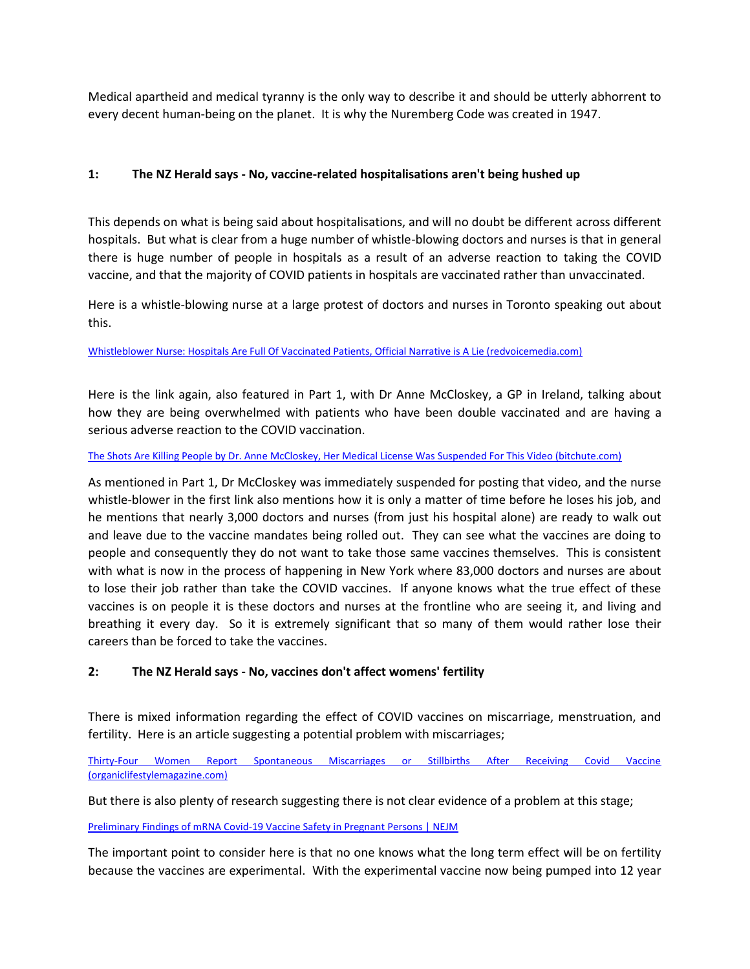Medical apartheid and medical tyranny is the only way to describe it and should be utterly abhorrent to every decent human-being on the planet. It is why the Nuremberg Code was created in 1947.

## **1: The NZ Herald says - No, vaccine-related hospitalisations aren't being hushed up**

This depends on what is being said about hospitalisations, and will no doubt be different across different hospitals. But what is clear from a huge number of whistle-blowing doctors and nurses is that in general there is huge number of people in hospitals as a result of an adverse reaction to taking the COVID vaccine, and that the majority of COVID patients in hospitals are vaccinated rather than unvaccinated.

Here is a whistle-blowing nurse at a large protest of doctors and nurses in Toronto speaking out about this.

[Whistleblower Nurse: Hospitals Are Full Of Vaccinated Patients, Official Narrative is A Lie \(redvoicemedia.com\)](https://www.redvoicemedia.com/2021/09/whistleblower-nurse-hospitals-are-full-of-vaccinated-patients-official-narrative-is-a-lie/)

Here is the link again, also featured in Part 1, with Dr Anne McCloskey, a GP in Ireland, talking about how they are being overwhelmed with patients who have been double vaccinated and are having a serious adverse reaction to the COVID vaccination.

#### [The Shots Are Killing People by Dr. Anne McCloskey, Her Medical License Was Suspended For This Video \(bitchute.com\)](https://www.bitchute.com/video/lq5cmJdBFozu/)

As mentioned in Part 1, Dr McCloskey was immediately suspended for posting that video, and the nurse whistle-blower in the first link also mentions how it is only a matter of time before he loses his job, and he mentions that nearly 3,000 doctors and nurses (from just his hospital alone) are ready to walk out and leave due to the vaccine mandates being rolled out. They can see what the vaccines are doing to people and consequently they do not want to take those same vaccines themselves. This is consistent with what is now in the process of happening in New York where 83,000 doctors and nurses are about to lose their job rather than take the COVID vaccines. If anyone knows what the true effect of these vaccines is on people it is these doctors and nurses at the frontline who are seeing it, and living and breathing it every day. So it is extremely significant that so many of them would rather lose their careers than be forced to take the vaccines.

## **2: The NZ Herald says - No, vaccines don't affect womens' fertility**

There is mixed information regarding the effect of COVID vaccines on miscarriage, menstruation, and fertility. Here is an article suggesting a potential problem with miscarriages;

[Thirty-Four Women Report Spontaneous Miscarriages or Stillbirths After Receiving Covid Vaccine](https://www.organiclifestylemagazine.com/thirty-four-women-report-spontaneous-miscarriages-or-stillbirths-after-receiving-covid-vaccine)  [\(organiclifestylemagazine.com\)](https://www.organiclifestylemagazine.com/thirty-four-women-report-spontaneous-miscarriages-or-stillbirths-after-receiving-covid-vaccine)

But there is also plenty of research suggesting there is not clear evidence of a problem at this stage;

#### [Preliminary Findings of mRNA Covid-19 Vaccine Safety in Pregnant](https://www.nejm.org/doi/full/10.1056/NEJMoa2104983) Persons | NEJM

The important point to consider here is that no one knows what the long term effect will be on fertility because the vaccines are experimental. With the experimental vaccine now being pumped into 12 year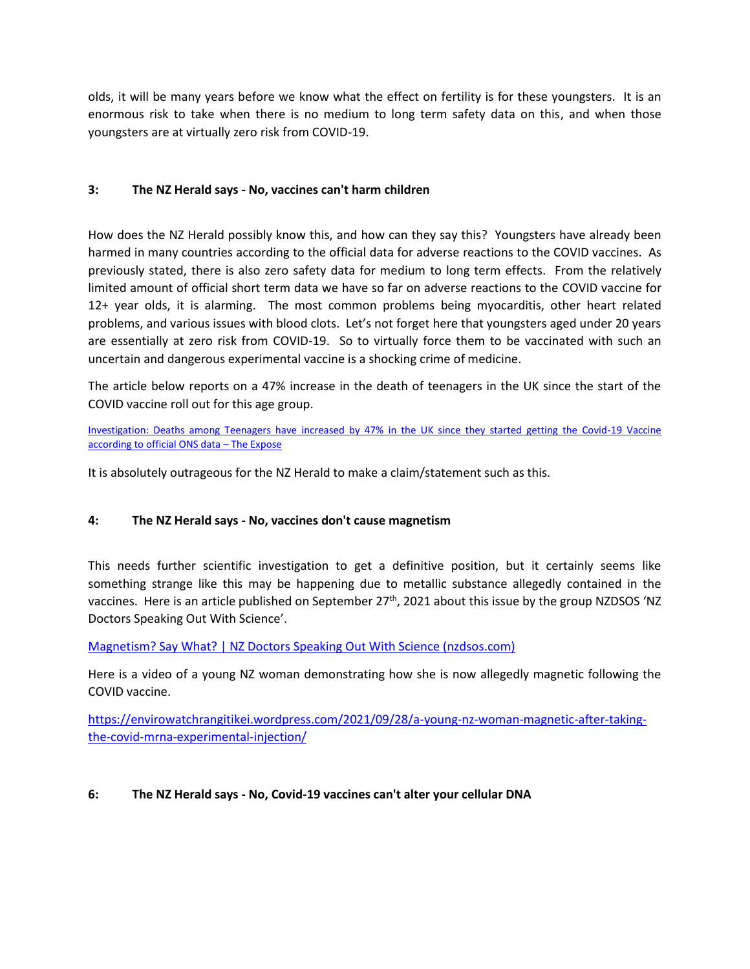olds, it will be many years before we know what the effect on fertility is for these youngsters. It is an enormous risk to take when there is no medium to long term safety data on this, and when those youngsters are at virtually zero risk from COVID-19.

## **3: The NZ Herald says - No, vaccines can't harm children**

How does the NZ Herald possibly know this, and how can they say this? Youngsters have already been harmed in many countries according to the official data for adverse reactions to the COVID vaccines. As previously stated, there is also zero safety data for medium to long term effects. From the relatively limited amount of official short term data we have so far on adverse reactions to the COVID vaccine for 12+ year olds, it is alarming. The most common problems being myocarditis, other heart related problems, and various issues with blood clots. Let's not forget here that youngsters aged under 20 years are essentially at zero risk from COVID-19. So to virtually force them to be vaccinated with such an uncertain and dangerous experimental vaccine is a shocking crime of medicine.

The article below reports on a 47% increase in the death of teenagers in the UK since the start of the COVID vaccine roll out for this age group.

[Investigation: Deaths among Teenagers have increased by 47% in the UK since they started getting the Covid-19 Vaccine](https://theexpose.uk/2021/09/30/deaths-among-teenagers-have-increased-by-47-percent-since-covid-vaccination-began/)  [according to official ONS data](https://theexpose.uk/2021/09/30/deaths-among-teenagers-have-increased-by-47-percent-since-covid-vaccination-began/) – The Expose

It is absolutely outrageous for the NZ Herald to make a claim/statement such as this.

## **4: The NZ Herald says - No, vaccines don't cause magnetism**

This needs further scientific investigation to get a definitive position, but it certainly seems like something strange like this may be happening due to metallic substance allegedly contained in the vaccines. Here is an article published on September 27<sup>th</sup>, 2021 about this issue by the group NZDSOS 'NZ Doctors Speaking Out With Science'.

[Magnetism? Say What? | NZ Doctors Speaking Out With Science \(nzdsos.com\)](https://nzdsos.com/2021/09/27/magnetism-say-what/)

Here is a video of a young NZ woman demonstrating how she is now allegedly magnetic following the COVID vaccine.

[https://envirowatchrangitikei.wordpress.com/2021/09/28/a-young-nz-woman-magnetic-after-taking](https://envirowatchrangitikei.wordpress.com/2021/09/28/a-young-nz-woman-magnetic-after-taking-the-covid-mrna-experimental-injection/)[the-covid-mrna-experimental-injection/](https://envirowatchrangitikei.wordpress.com/2021/09/28/a-young-nz-woman-magnetic-after-taking-the-covid-mrna-experimental-injection/)

## **6: The NZ Herald says - No, Covid-19 vaccines can't alter your cellular DNA**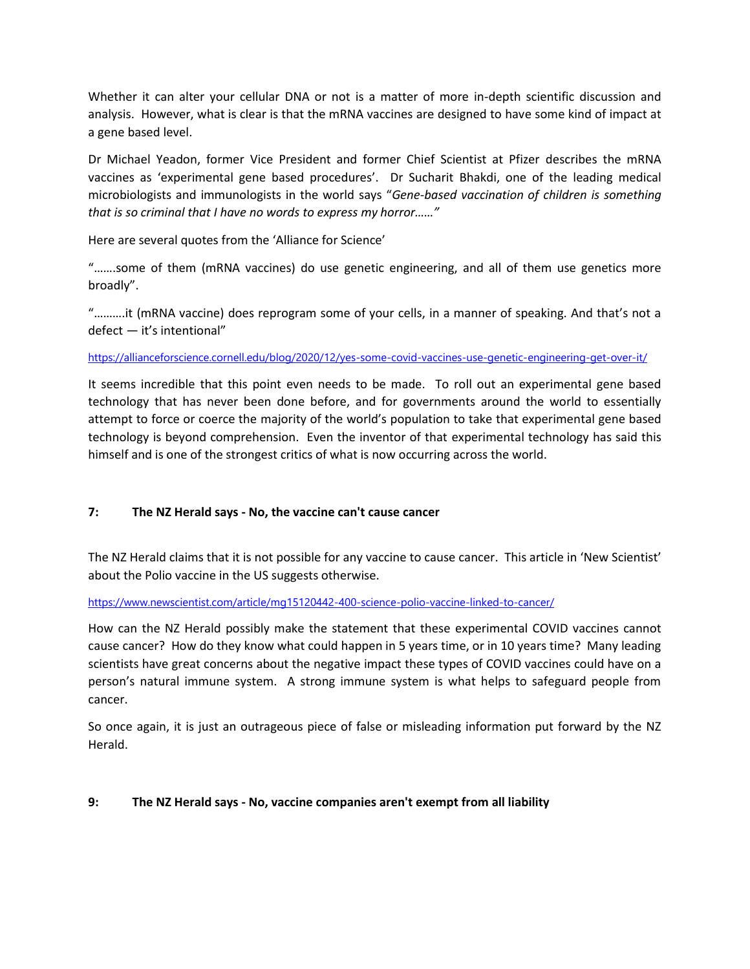Whether it can alter your cellular DNA or not is a matter of more in-depth scientific discussion and analysis. However, what is clear is that the mRNA vaccines are designed to have some kind of impact at a gene based level.

Dr Michael Yeadon, former Vice President and former Chief Scientist at Pfizer describes the mRNA vaccines as 'experimental gene based procedures'. Dr Sucharit Bhakdi, one of the leading medical microbiologists and immunologists in the world says "*Gene-based vaccination of children is something that is so criminal that I have no words to express my horror……"*

Here are several quotes from the 'Alliance for Science'

"…….some of them (mRNA vaccines) do use genetic engineering, and all of them use genetics more broadly".

"……….it (mRNA vaccine) does reprogram some of your cells, in a manner of speaking. And that's not a defect — it's intentional"

[https://allianceforscience.cornell.edu/blog/2020/12/yes-some-covid-vaccines-use-genetic-engineering-get-over-it/](https://emea01.safelinks.protection.outlook.com/?url=https%3A%2F%2Fallianceforscience.cornell.edu%2Fblog%2F2020%2F12%2Fyes-some-covid-vaccines-use-genetic-engineering-get-over-it%2F&data=04%7C01%7C%7C90e013fc5f9f4e04599a08d98703ad75%7C84df9e7fe9f640afb435aaaaaaaaaaaa%7C1%7C0%7C637689272120146140%7CUnknown%7CTWFpbGZsb3d8eyJWIjoiMC4wLjAwMDAiLCJQIjoiV2luMzIiLCJBTiI6Ik1haWwiLCJXVCI6Mn0%3D%7C1000&sdata=51RmCvOlKIfRWD0P25RfU0ij6v6Hg891zkGIthz2ETU%3D&reserved=0)

It seems incredible that this point even needs to be made. To roll out an experimental gene based technology that has never been done before, and for governments around the world to essentially attempt to force or coerce the majority of the world's population to take that experimental gene based technology is beyond comprehension. Even the inventor of that experimental technology has said this himself and is one of the strongest critics of what is now occurring across the world.

## **7: The NZ Herald says - No, the vaccine can't cause cancer**

The NZ Herald claims that it is not possible for any vaccine to cause cancer. This article in 'New Scientist' about the Polio vaccine in the US suggests otherwise.

[https://www.newscientist.com/article/mg15120442-400-science-polio-vaccine-linked-to-cancer/](https://emea01.safelinks.protection.outlook.com/?url=https%3A%2F%2Fwww.newscientist.com%2Farticle%2Fmg15120442-400-science-polio-vaccine-linked-to-cancer%2F&data=04%7C01%7C%7C0bcdd975a17e489daff908d98700847c%7C84df9e7fe9f640afb435aaaaaaaaaaaa%7C1%7C0%7C637689258549137723%7CUnknown%7CTWFpbGZsb3d8eyJWIjoiMC4wLjAwMDAiLCJQIjoiV2luMzIiLCJBTiI6Ik1haWwiLCJXVCI6Mn0%3D%7C1000&sdata=ATUnkiDXITmbYzj0cDe4kSghVTearmD6qD9cG%2FszAR0%3D&reserved=0)

How can the NZ Herald possibly make the statement that these experimental COVID vaccines cannot cause cancer? How do they know what could happen in 5 years time, or in 10 years time? Many leading scientists have great concerns about the negative impact these types of COVID vaccines could have on a person's natural immune system. A strong immune system is what helps to safeguard people from cancer.

So once again, it is just an outrageous piece of false or misleading information put forward by the NZ Herald.

## **9: The NZ Herald says - No, vaccine companies aren't exempt from all liability**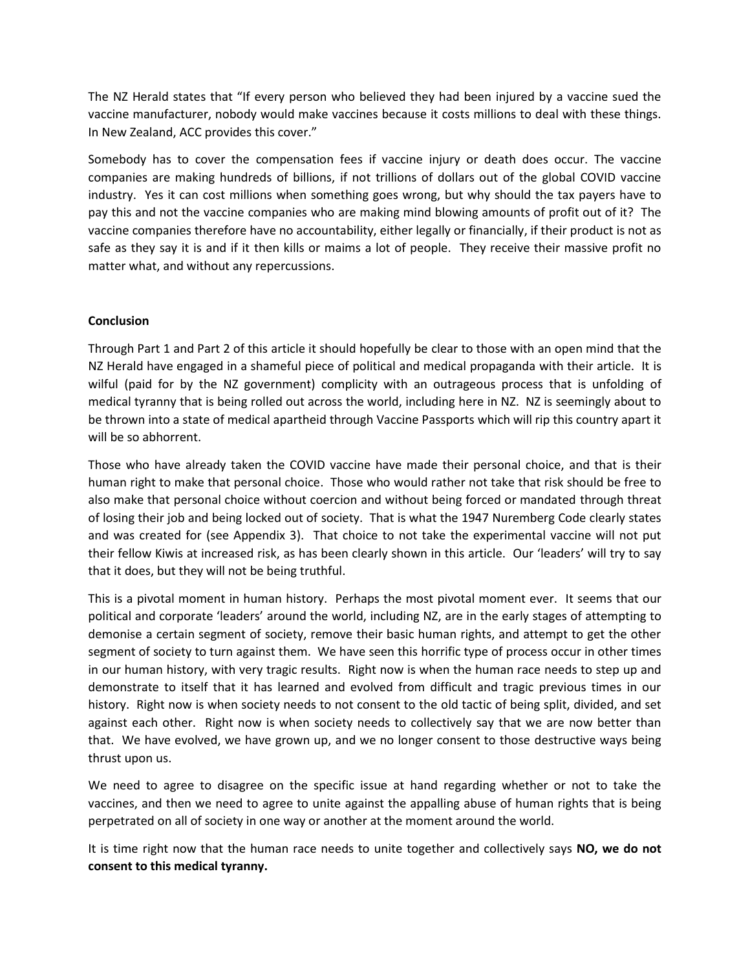The NZ Herald states that "If every person who believed they had been injured by a vaccine sued the vaccine manufacturer, nobody would make vaccines because it costs millions to deal with these things. In New Zealand, ACC provides this cover."

Somebody has to cover the compensation fees if vaccine injury or death does occur. The vaccine companies are making hundreds of billions, if not trillions of dollars out of the global COVID vaccine industry. Yes it can cost millions when something goes wrong, but why should the tax payers have to pay this and not the vaccine companies who are making mind blowing amounts of profit out of it? The vaccine companies therefore have no accountability, either legally or financially, if their product is not as safe as they say it is and if it then kills or maims a lot of people. They receive their massive profit no matter what, and without any repercussions.

## **Conclusion**

Through Part 1 and Part 2 of this article it should hopefully be clear to those with an open mind that the NZ Herald have engaged in a shameful piece of political and medical propaganda with their article. It is wilful (paid for by the NZ government) complicity with an outrageous process that is unfolding of medical tyranny that is being rolled out across the world, including here in NZ. NZ is seemingly about to be thrown into a state of medical apartheid through Vaccine Passports which will rip this country apart it will be so abhorrent.

Those who have already taken the COVID vaccine have made their personal choice, and that is their human right to make that personal choice. Those who would rather not take that risk should be free to also make that personal choice without coercion and without being forced or mandated through threat of losing their job and being locked out of society. That is what the 1947 Nuremberg Code clearly states and was created for (see Appendix 3). That choice to not take the experimental vaccine will not put their fellow Kiwis at increased risk, as has been clearly shown in this article. Our 'leaders' will try to say that it does, but they will not be being truthful.

This is a pivotal moment in human history. Perhaps the most pivotal moment ever. It seems that our political and corporate 'leaders' around the world, including NZ, are in the early stages of attempting to demonise a certain segment of society, remove their basic human rights, and attempt to get the other segment of society to turn against them. We have seen this horrific type of process occur in other times in our human history, with very tragic results. Right now is when the human race needs to step up and demonstrate to itself that it has learned and evolved from difficult and tragic previous times in our history. Right now is when society needs to not consent to the old tactic of being split, divided, and set against each other. Right now is when society needs to collectively say that we are now better than that. We have evolved, we have grown up, and we no longer consent to those destructive ways being thrust upon us.

We need to agree to disagree on the specific issue at hand regarding whether or not to take the vaccines, and then we need to agree to unite against the appalling abuse of human rights that is being perpetrated on all of society in one way or another at the moment around the world.

It is time right now that the human race needs to unite together and collectively says **NO, we do not consent to this medical tyranny.**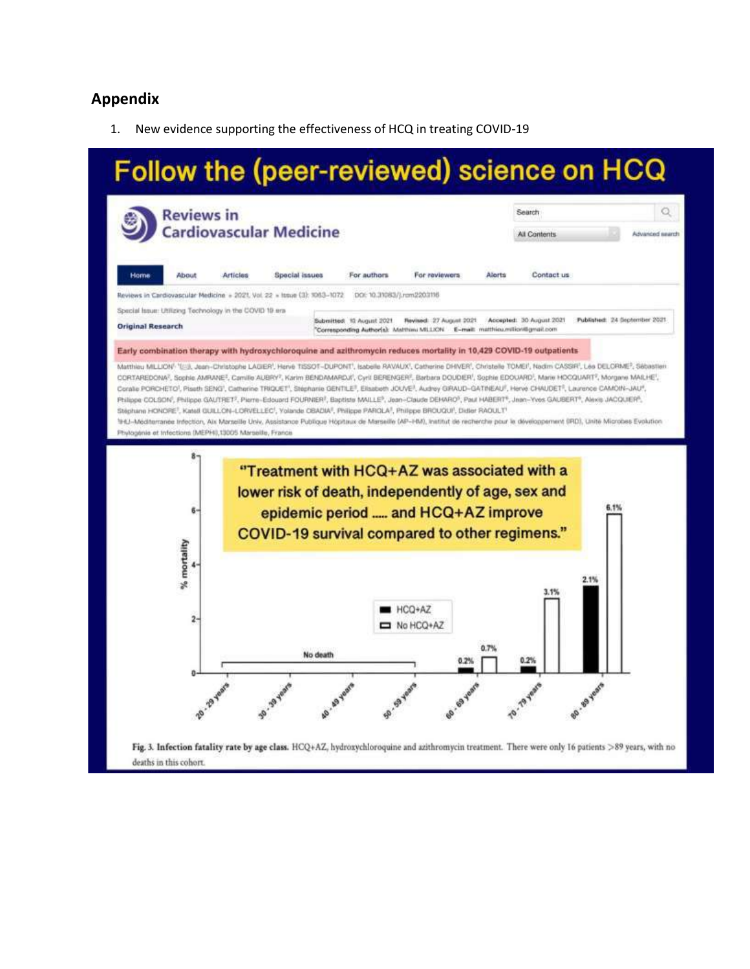# **Appendix**

1. New evidence supporting the effectiveness of HCQ in treating COVID-19

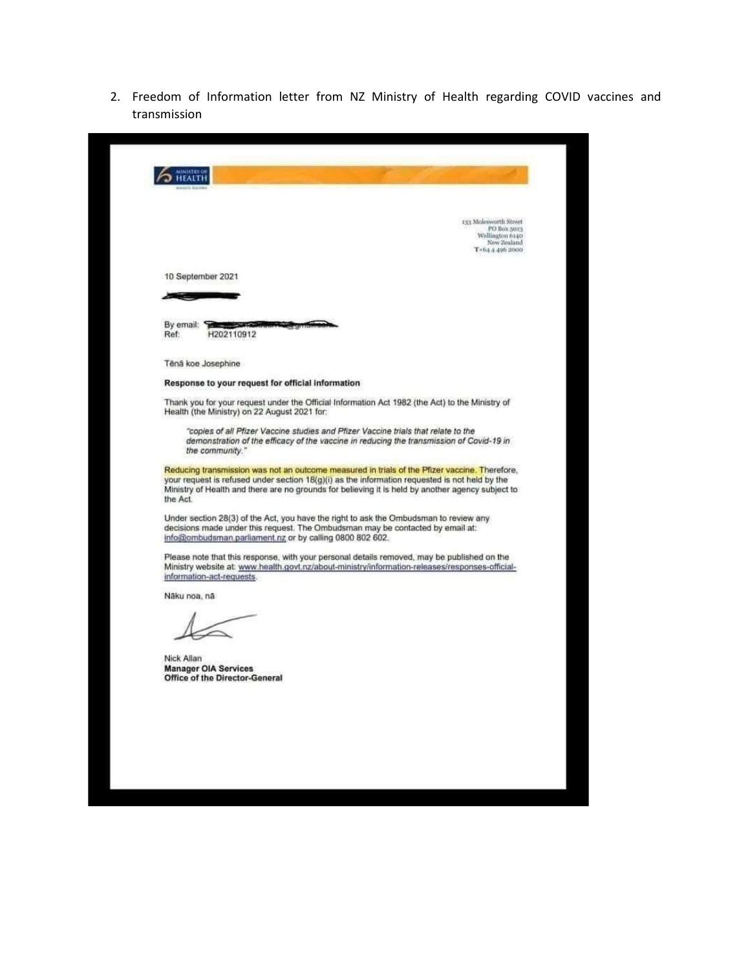2. Freedom of Information letter from NZ Ministry of Health regarding COVID vaccines and transmission

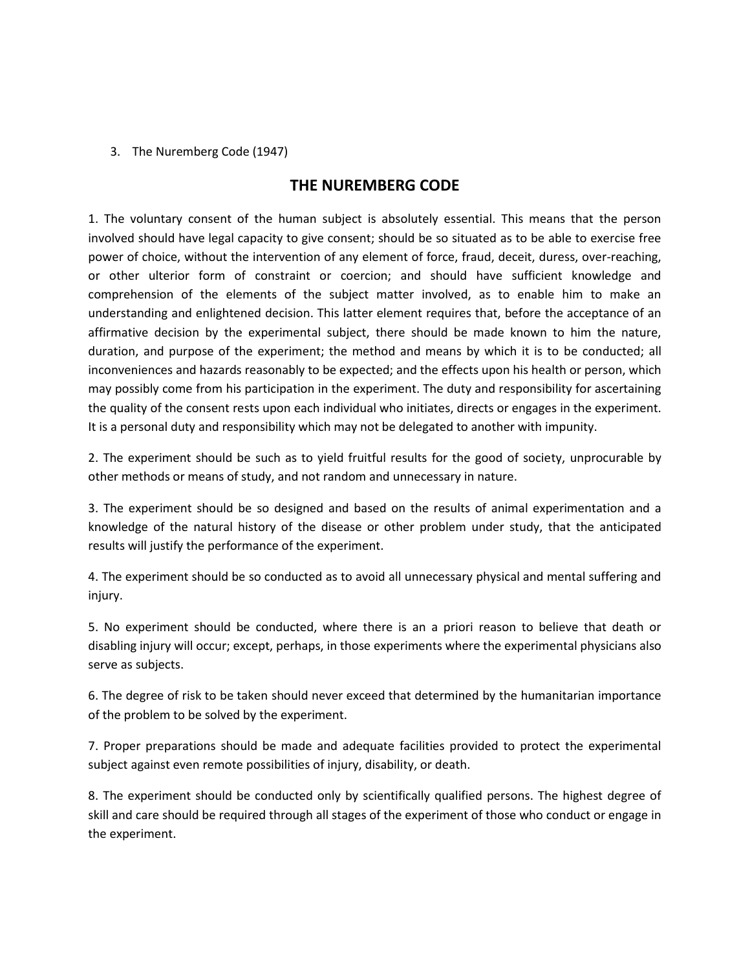## 3. The Nuremberg Code (1947)

## **THE NUREMBERG CODE**

1. The voluntary consent of the human subject is absolutely essential. This means that the person involved should have legal capacity to give consent; should be so situated as to be able to exercise free power of choice, without the intervention of any element of force, fraud, deceit, duress, over-reaching, or other ulterior form of constraint or coercion; and should have sufficient knowledge and comprehension of the elements of the subject matter involved, as to enable him to make an understanding and enlightened decision. This latter element requires that, before the acceptance of an affirmative decision by the experimental subject, there should be made known to him the nature, duration, and purpose of the experiment; the method and means by which it is to be conducted; all inconveniences and hazards reasonably to be expected; and the effects upon his health or person, which may possibly come from his participation in the experiment. The duty and responsibility for ascertaining the quality of the consent rests upon each individual who initiates, directs or engages in the experiment. It is a personal duty and responsibility which may not be delegated to another with impunity.

2. The experiment should be such as to yield fruitful results for the good of society, unprocurable by other methods or means of study, and not random and unnecessary in nature.

3. The experiment should be so designed and based on the results of animal experimentation and a knowledge of the natural history of the disease or other problem under study, that the anticipated results will justify the performance of the experiment.

4. The experiment should be so conducted as to avoid all unnecessary physical and mental suffering and injury.

5. No experiment should be conducted, where there is an a priori reason to believe that death or disabling injury will occur; except, perhaps, in those experiments where the experimental physicians also serve as subjects.

6. The degree of risk to be taken should never exceed that determined by the humanitarian importance of the problem to be solved by the experiment.

7. Proper preparations should be made and adequate facilities provided to protect the experimental subject against even remote possibilities of injury, disability, or death.

8. The experiment should be conducted only by scientifically qualified persons. The highest degree of skill and care should be required through all stages of the experiment of those who conduct or engage in the experiment.